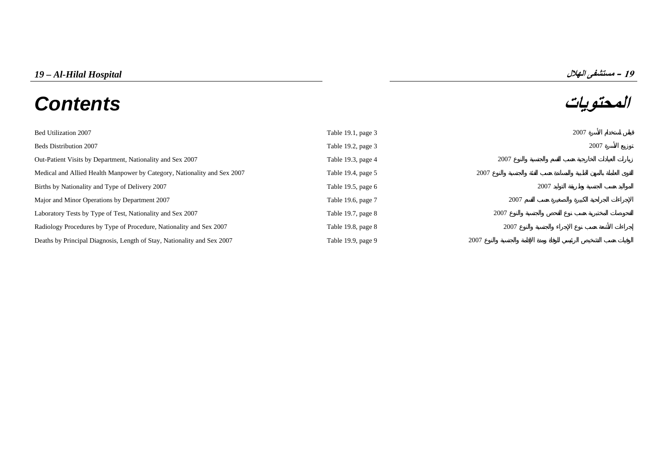# *19 – Al-Hilal Hospital* **الهلال مستشفى – <sup>19</sup> المحتويات** *Contents*



| Bed Utilization 2007                                                     | Table 19.1, page 3   |      | 2007 |
|--------------------------------------------------------------------------|----------------------|------|------|
| <b>Beds Distribution 2007</b>                                            | Table 19.2, page 3   |      | 2007 |
| Out-Patient Visits by Department, Nationality and Sex 2007               | Table 19.3, page 4   | 2007 |      |
| Medical and Allied Health Manpower by Category, Nationality and Sex 2007 | Table 19.4, page 5   | 2007 |      |
| Births by Nationality and Type of Delivery 2007                          | Table 19.5, page $6$ | 2007 |      |
| Major and Minor Operations by Department 2007                            | Table 19.6, page 7   | 2007 |      |
| Laboratory Tests by Type of Test, Nationality and Sex 2007               | Table 19.7, page 8   | 2007 |      |
| Radiology Procedures by Type of Procedure, Nationality and Sex 2007      | Table 19.8, page 8   | 2007 |      |
| Deaths by Principal Diagnosis, Length of Stay, Nationality and Sex 2007  | Table 19.9, page 9   | 2007 |      |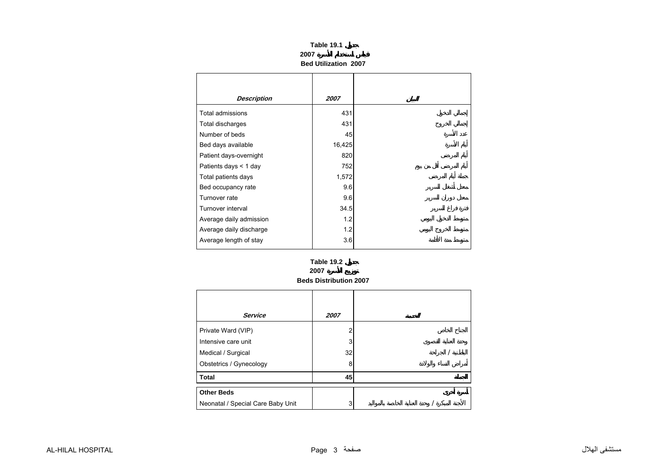|                    | 2007 | Table 19.1<br><b>Bed Utilization 2007</b> |  |
|--------------------|------|-------------------------------------------|--|
| <b>Description</b> |      | 2007                                      |  |
| sions              |      | 431                                       |  |
| rges               |      | 431                                       |  |

<span id="page-1-0"></span>

| Total admissions        | 431    |  |
|-------------------------|--------|--|
| Total discharges        | 431    |  |
| Number of beds          | 45     |  |
| Bed days available      | 16,425 |  |
| Patient days-overnight  | 820    |  |
| Patients days $<$ 1 day | 752    |  |
| Total patients days     | 1,572  |  |
| Bed occupancy rate      | 9.6    |  |
| Turnover rate           | 9.6    |  |
| Turnover interval       | 34.5   |  |
| Average daily admission | 1.2    |  |
| Average daily discharge | 1.2    |  |
| Average length of stay  | 3.6    |  |

#### **Beds Distribution 2007 Table 19.2 2007**

| <b>Service</b>                    | 2007 |  |
|-----------------------------------|------|--|
| Private Ward (VIP)                |      |  |
| Intensive care unit               | 3    |  |
| Medical / Surgical                | 32   |  |
| Obstetrics / Gynecology           | 8    |  |
| <b>Total</b>                      | 45   |  |
| <b>Other Beds</b>                 |      |  |
| Neonatal / Special Care Baby Unit | 3    |  |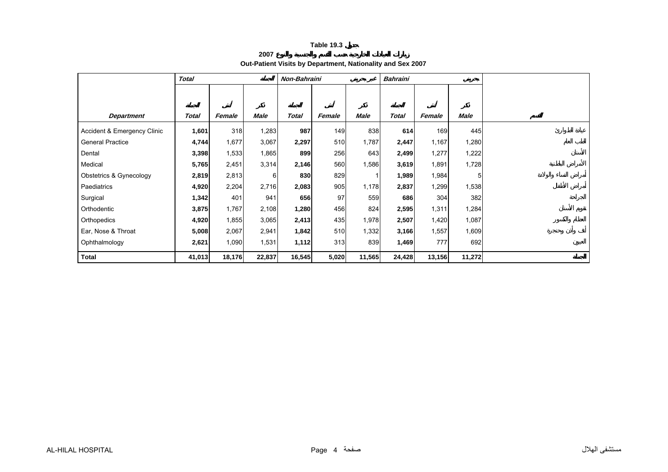**2007**

**Out-Patient Visits by Department, Nationality and Sex 2007** 

<span id="page-2-0"></span>

|                             | <b>Total</b> |        |             | Non-Bahraini |        |             | <b>Bahraini</b> |        |        |  |
|-----------------------------|--------------|--------|-------------|--------------|--------|-------------|-----------------|--------|--------|--|
|                             |              |        |             |              |        |             |                 |        |        |  |
|                             |              |        |             |              |        |             |                 |        |        |  |
| <b>Department</b>           | <b>Total</b> | Female | <b>Male</b> | <b>Total</b> | Female | <b>Male</b> | <b>Total</b>    | Female | Male   |  |
| Accident & Emergency Clinic | 1,601        | 318    | 1,283       | 987          | 149    | 838         | 614             | 169    | 445    |  |
| <b>General Practice</b>     | 4,744        | 1,677  | 3,067       | 2,297        | 510    | 1,787       | 2,447           | 1,167  | 1,280  |  |
| Dental                      | 3,398        | 1,533  | 1,865       | 899          | 256    | 643         | 2,499           | 1,277  | 1,222  |  |
| Medical                     | 5,765        | 2,451  | 3,314       | 2,146        | 560    | 1,586       | 3,619           | 1,891  | 1,728  |  |
| Obstetrics & Gynecology     | 2,819        | 2,813  | 6           | 830          | 829    |             | 1,989           | 1,984  | 5      |  |
| Paediatrics                 | 4,920        | 2,204  | 2,716       | 2,083        | 905    | 1,178       | 2,837           | 1,299  | 1,538  |  |
| Surgical                    | 1,342        | 401    | 941         | 656          | 97     | 559         | 686             | 304    | 382    |  |
| Orthodentic                 | 3,875        | 1,767  | 2,108       | 1,280        | 456    | 824         | 2,595           | 1,311  | 1,284  |  |
| Orthopedics                 | 4,920        | 1,855  | 3,065       | 2,413        | 435    | 1,978       | 2,507           | 1,420  | 1,087  |  |
| Ear, Nose & Throat          | 5,008        | 2,067  | 2,941       | 1,842        | 510    | 1,332       | 3,166           | 1,557  | 1,609  |  |
| Ophthalmology               | 2,621        | 1,090  | 1,531       | 1,112        | 313    | 839         | 1,469           | 777    | 692    |  |
| <b>Total</b>                | 41,013       | 18,176 | 22,837      | 16,545       | 5,020  | 11,565      | 24,428          | 13,156 | 11,272 |  |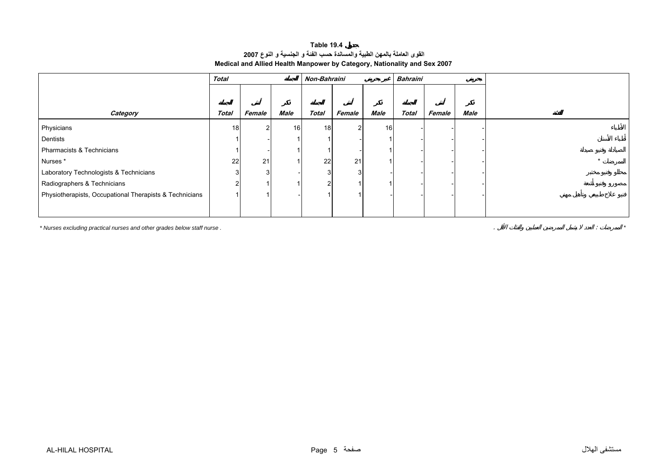# **القوى العاملة بالمهن الطبية والمساندة حسب الفئة <sup>و</sup> الجنسية <sup>و</sup> النوع <sup>2007</sup> Medical and Allied Health Manpower by Category, Nationality and Sex 2007 Table 19.4**

<span id="page-3-0"></span>

|                                                         | <b>Total</b> |        |      |                 | Non-Bahraini<br>Bahraini |             |              |        |      |  |
|---------------------------------------------------------|--------------|--------|------|-----------------|--------------------------|-------------|--------------|--------|------|--|
|                                                         |              |        |      |                 |                          |             |              |        |      |  |
|                                                         |              |        |      |                 |                          |             |              |        |      |  |
| Category                                                | <b>Total</b> | Female | Male | <b>Total</b>    | Female                   | <b>Male</b> | <b>Total</b> | Female | Male |  |
| Physicians                                              | 18           |        | 16   | 18 <sup>l</sup> | າ                        | 16          |              |        |      |  |
| Dentists                                                |              |        |      |                 |                          |             |              |        |      |  |
| Pharmacists & Technicians                               |              |        |      |                 |                          |             |              |        |      |  |
| Nurses*                                                 | 22           | 21     |      | 22              | 21                       |             |              |        |      |  |
| Laboratory Technologists & Technicians                  |              |        |      | 3               |                          |             |              |        |      |  |
| Radiographers & Technicians                             |              |        |      |                 |                          |             |              |        |      |  |
| Physiotherapists, Occupational Therapists & Technicians |              |        |      |                 |                          |             |              |        |      |  |
|                                                         |              |        |      |                 |                          |             |              |        |      |  |

*\* Nurses excluding practical nurses and other grades below staff nurse .* . : *\**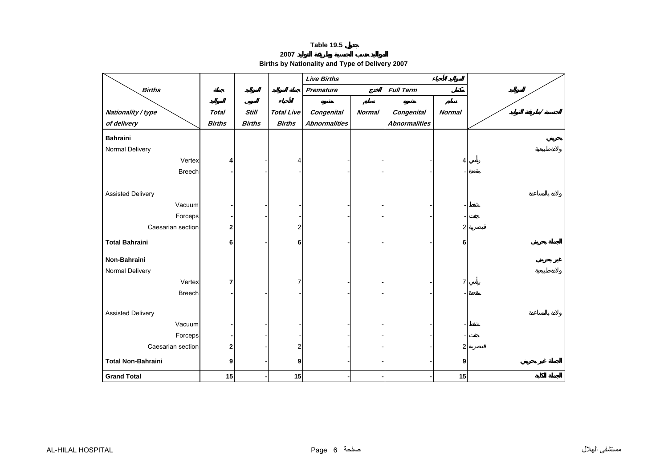**2007Births by Nationality and Type of Delivery 2007** 

<span id="page-4-0"></span>

|                           |               |               |                          | <b>Live Births</b>   |               |                      |                |  |
|---------------------------|---------------|---------------|--------------------------|----------------------|---------------|----------------------|----------------|--|
| <b>Births</b>             |               |               |                          | Premature            |               | <b>Full Term</b>     |                |  |
|                           |               |               |                          |                      |               |                      |                |  |
| Nationality / type        | <b>Total</b>  | <b>Still</b>  | <b>Total Live</b>        | <b>Congenital</b>    | <b>Normal</b> | <b>Congenital</b>    | <b>Normal</b>  |  |
| of delivery               | <b>Births</b> | <b>Births</b> | <b>Births</b>            | <b>Abnormalities</b> |               | <b>Abnormalities</b> |                |  |
| <b>Bahraini</b>           |               |               |                          |                      |               |                      |                |  |
| Normal Delivery           |               |               |                          |                      |               |                      |                |  |
| Vertex                    | Δ             |               | $\overline{\phantom{a}}$ |                      |               |                      | 4              |  |
| Breech                    |               |               |                          |                      |               |                      |                |  |
|                           |               |               |                          |                      |               |                      |                |  |
| <b>Assisted Delivery</b>  |               |               |                          |                      |               |                      |                |  |
| Vacuum                    |               |               |                          |                      |               |                      |                |  |
| Forceps                   |               |               |                          |                      |               |                      |                |  |
| Caesarian section         | 2             |               | 2                        |                      |               |                      | $\overline{2}$ |  |
| <b>Total Bahraini</b>     | 6             |               | 6                        |                      |               |                      | 6              |  |
| Non-Bahraini              |               |               |                          |                      |               |                      |                |  |
| Normal Delivery           |               |               |                          |                      |               |                      |                |  |
| Vertex                    | 7             |               | 7                        |                      |               |                      |                |  |
| Breech                    |               |               |                          |                      |               |                      |                |  |
|                           |               |               |                          |                      |               |                      |                |  |
| <b>Assisted Delivery</b>  |               |               |                          |                      |               |                      |                |  |
| Vacuum                    |               |               |                          |                      |               |                      |                |  |
| Forceps                   |               |               |                          |                      |               |                      |                |  |
| Caesarian section         | 2             |               | 2                        |                      |               |                      | 2              |  |
| <b>Total Non-Bahraini</b> | 9             |               | 9                        |                      |               |                      | 9              |  |
| <b>Grand Total</b>        | 15            |               | 15                       |                      |               |                      | 15             |  |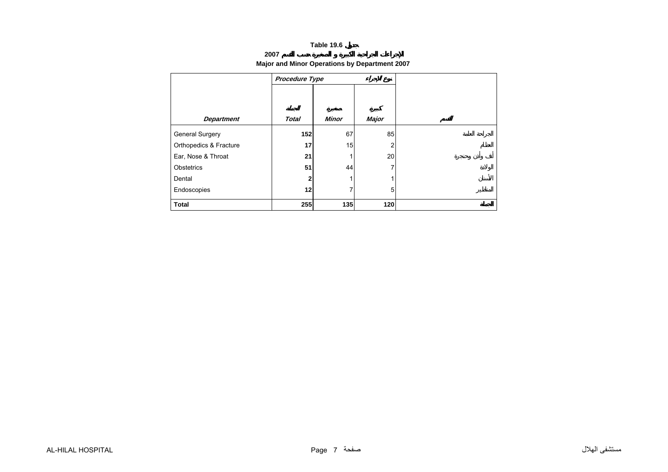#### **2007**

# **Major and Minor Operations by Department 2007**

<span id="page-5-0"></span>

| <b>Department</b>      | <b>Total</b> | <b>Minor</b> | Major |  |
|------------------------|--------------|--------------|-------|--|
| <b>General Surgery</b> | 152          | 67           | 85    |  |
| Orthopedics & Fracture | 17           | 15           | 2     |  |
| Ear, Nose & Throat     | 21           |              | 20    |  |
| Obstetrics             | 51           | 44           | 7     |  |
| Dental                 | $\mathbf{2}$ |              |       |  |
| Endoscopies            | 12           |              | 5     |  |
| <b>Total</b>           | 255          | 135          | 120   |  |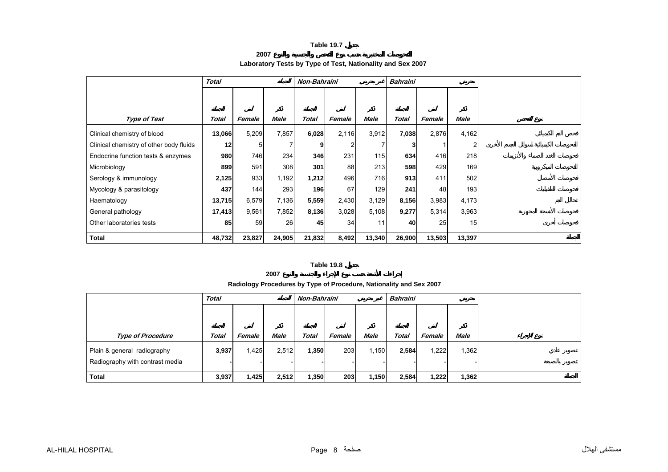**2007**

#### **Laboratory Tests by Type of Test, Nationality and Sex 2007**

<span id="page-6-0"></span>

|                                         | <b>Total</b> |                |        | Non-Bahraini |        |             | <b>Bahraini</b> |        |             |  |
|-----------------------------------------|--------------|----------------|--------|--------------|--------|-------------|-----------------|--------|-------------|--|
|                                         |              |                |        |              |        |             |                 |        |             |  |
|                                         |              |                |        |              |        |             |                 |        |             |  |
| <b>Type of Test</b>                     | Total        | Female         | Male   | <b>Total</b> | Female | <b>Male</b> | <b>Total</b>    | Female | <b>Male</b> |  |
| Clinical chemistry of blood             | 13,066       | 5,209          | 7,857  | 6,028        | 2,116  | 3,912       | 7,038           | 2,876  | 4,162       |  |
| Clinical chemistry of other body fluids | 12           | 5 <sub>l</sub> |        | 9            | 2      |             | 3               |        |             |  |
| Endocrine function tests & enzymes      | 980          | 746            | 234    | 346          | 231    | 115         | 634             | 416    | 218         |  |
| Microbiology                            | 899          | 591            | 308    | 301          | 88     | 213         | 598             | 429    | 169         |  |
| Serology & immunology                   | 2,125        | 933            | 1,192  | 1,212        | 496    | 716         | 913             | 411    | 502         |  |
| Mycology & parasitology                 | 437          | 144            | 293    | 196          | 67     | 129         | 241             | 48     | 193         |  |
| Haematology                             | 13,715       | 6,579          | 7,136  | 5,559        | 2,430  | 3,129       | 8,156           | 3,983  | 4,173       |  |
| General pathology                       | 17,413       | 9,561          | 7,852  | 8,136        | 3,028  | 5,108       | 9,277           | 5,314  | 3,963       |  |
| Other laboratories tests                | 85           | 59             | 26     | 45           | 34     | 11          | 40              | 25     | 15          |  |
| <b>Total</b>                            | 48,732       | 23,827         | 24,905 | 21,832       | 8,492  | 13,340      | 26,900          | 13,503 | 13,397      |  |

#### **Table 19.8**

**2007**

#### **Radiology Procedures by Type of Procedure, Nationality and Sex 2007**

|                                 | <b>Total</b> |        |             | Non-Bahraini |        |             | <b>Bahraini</b> |        |             |  |
|---------------------------------|--------------|--------|-------------|--------------|--------|-------------|-----------------|--------|-------------|--|
|                                 |              |        |             |              |        |             |                 |        |             |  |
|                                 |              |        |             |              |        |             |                 |        |             |  |
| <b>Type of Procedure</b>        | <b>Total</b> | Female | <b>Male</b> | <b>Total</b> | Female | <b>Male</b> | Total           | Female | <b>Male</b> |  |
| Plain & general radiography     | 3,937        | 1,425  | 2,512       | 1,350        | 203    | 1,150       | 2,584           | 1,222  | .362        |  |
| Radiography with contrast media |              |        |             |              |        |             |                 |        |             |  |
| <b>Total</b>                    | 3,937        | 1,425  | 2,512       | 1,350        | 203    | 1,150       | 2,584           | 1,222  | 1,362       |  |